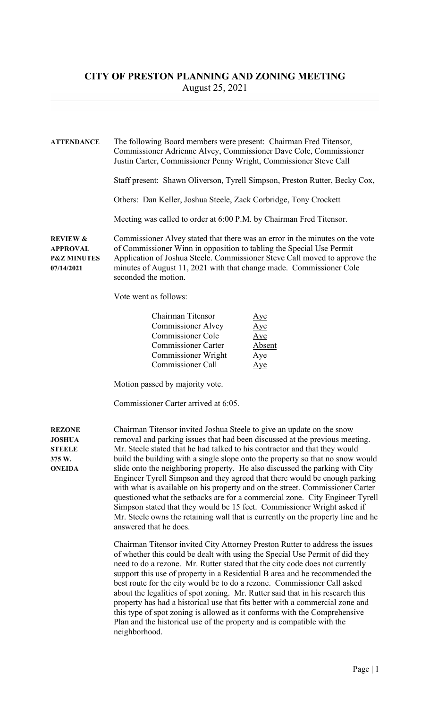ATTENDANCE The following Board members were present: Chairman Fred Titensor, Commissioner Adrienne Alvey, Commissioner Dave Cole, Commissioner Justin Carter, Commissioner Penny Wright, Commissioner Steve Call Staff present: Shawn Oliverson, Tyrell Simpson, Preston Rutter, Becky Cox, Others: Dan Keller, Joshua Steele, Zack Corbridge, Tony Crockett Meeting was called to order at 6:00 P.M. by Chairman Fred Titensor. REVIEW & Commissioner Alvey stated that there was an error in the minutes on the vote APPROVAL of Commissioner Winn in opposition to tabling the Special Use Permit P&Z MINUTES Application of Joshua Steele. Commissioner Steve Call moved to approve the 07/14/2021 minutes of August 11, 2021 with that change made. Commissioner Cole seconded the motion. Vote went as follows: Chairman Titensor Aye Commissioner Alvey Aye Commissioner Cole Aye Commissioner Carter Absent Commissioner Wright Aye Commissioner Call Aye Motion passed by majority vote. Commissioner Carter arrived at 6:05. REZONE Chairman Titensor invited Joshua Steele to give an update on the snow JOSHUA removal and parking issues that had been discussed at the previous meeting. STEELE Mr. Steele stated that he had talked to his contractor and that they would 375 W. build the building with a single slope onto the property so that no snow would ONEIDA slide onto the neighboring property. He also discussed the parking with City Engineer Tyrell Simpson and they agreed that there would be enough parking with what is available on his property and on the street. Commissioner Carter questioned what the setbacks are for a commercial zone. City Engineer Tyrell Simpson stated that they would be 15 feet. Commissioner Wright asked if Mr. Steele owns the retaining wall that is currently on the property line and he answered that he does. Chairman Titensor invited City Attorney Preston Rutter to address the issues of whether this could be dealt with using the Special Use Permit of did they need to do a rezone. Mr. Rutter stated that the city code does not currently support this use of property in a Residential B area and he recommended the best route for the city would be to do a rezone. Commissioner Call asked about the legalities of spot zoning. Mr. Rutter said that in his research this property has had a historical use that fits better with a commercial zone and

this type of spot zoning is allowed as it conforms with the Comprehensive Plan and the historical use of the property and is compatible with the neighborhood.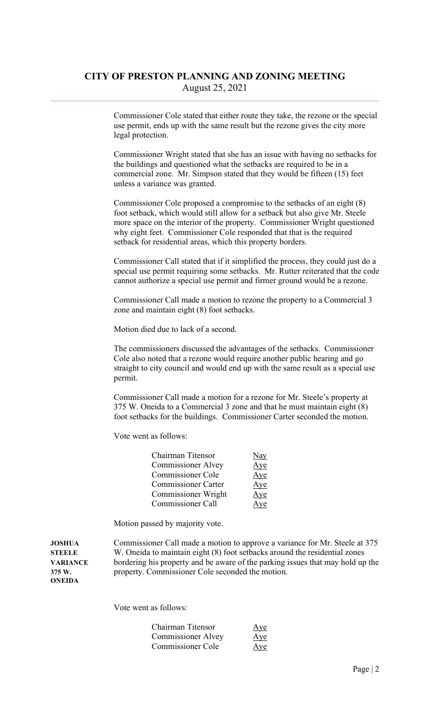Commissioner Cole stated that either route they take, the rezone or the special use permit, ends up with the same result but the rezone gives the city more legal protection.

 Commissioner Wright stated that she has an issue with having no setbacks for the buildings and questioned what the setbacks are required to be in a commercial zone. Mr. Simpson stated that they would be fifteen (15) feet unless a variance was granted.

 Commissioner Cole proposed a compromise to the setbacks of an eight (8) foot setback, which would still allow for a setback but also give Mr. Steele more space on the interior of the property. Commissioner Wright questioned why eight feet. Commissioner Cole responded that that is the required setback for residential areas, which this property borders.

 Commissioner Call stated that if it simplified the process, they could just do a special use permit requiring some setbacks. Mr. Rutter reiterated that the code cannot authorize a special use permit and firmer ground would be a rezone.

 Commissioner Call made a motion to rezone the property to a Commercial 3 zone and maintain eight (8) foot setbacks.

Motion died due to lack of a second.

 The commissioners discussed the advantages of the setbacks. Commissioner Cole also noted that a rezone would require another public hearing and go straight to city council and would end up with the same result as a special use permit.

 Commissioner Call made a motion for a rezone for Mr. Steele's property at 375 W. Oneida to a Commercial 3 zone and that he must maintain eight (8) foot setbacks for the buildings. Commissioner Carter seconded the motion.

Vote went as follows:

| Chairman Titensor          | Nay    |
|----------------------------|--------|
| <b>Commissioner Alvey</b>  | Aye    |
| <b>Commissioner Cole</b>   | Aye    |
| <b>Commissioner Carter</b> | Aye    |
| Commissioner Wright        | Aye    |
| <b>Commissioner Call</b>   | $\vee$ |

Motion passed by majority vote.

ONEIDA

JOSHUA Commissioner Call made a motion to approve a variance for Mr. Steele at 375 STEELE W. Oneida to maintain eight (8) foot setbacks around the residential zones VARIANCE bordering his property and be aware of the parking issues that may hold up the 375 W. property. Commissioner Cole seconded the motion.

Vote went as follows:

| Chairman Titensor         | Aye |
|---------------------------|-----|
| <b>Commissioner Alvey</b> | Aye |
| Commissioner Cole         | Aye |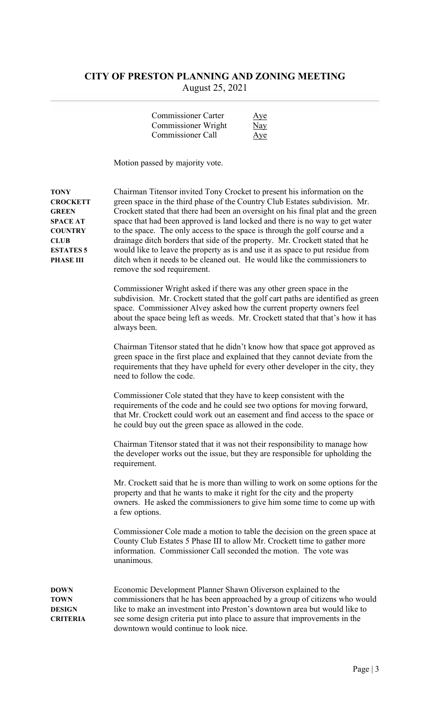| <b>Commissioner Carter</b> | Aye |
|----------------------------|-----|
| <b>Commissioner Wright</b> | Nay |
| Commissioner Call          | Aye |

Motion passed by majority vote.

TONY Chairman Titensor invited Tony Crocket to present his information on the CROCKETT green space in the third phase of the Country Club Estates subdivision. Mr. GREEN Crockett stated that there had been an oversight on his final plat and the green SPACE AT space that had been approved is land locked and there is no way to get water COUNTRY to the space. The only access to the space is through the golf course and a CLUB drainage ditch borders that side of the property. Mr. Crockett stated that he ESTATES 5 would like to leave the property as is and use it as space to put residue from PHASE III ditch when it needs to be cleaned out. He would like the commissioners to remove the sod requirement. Commissioner Wright asked if there was any other green space in the subdivision. Mr. Crockett stated that the golf cart paths are identified as green space. Commissioner Alvey asked how the current property owners feel about the space being left as weeds. Mr. Crockett stated that that's how it has always been. Chairman Titensor stated that he didn't know how that space got approved as green space in the first place and explained that they cannot deviate from the requirements that they have upheld for every other developer in the city, they need to follow the code. Commissioner Cole stated that they have to keep consistent with the requirements of the code and he could see two options for moving forward, that Mr. Crockett could work out an easement and find access to the space or he could buy out the green space as allowed in the code. Chairman Titensor stated that it was not their responsibility to manage how the developer works out the issue, but they are responsible for upholding the requirement. Mr. Crockett said that he is more than willing to work on some options for the property and that he wants to make it right for the city and the property owners. He asked the commissioners to give him some time to come up with a few options. Commissioner Cole made a motion to table the decision on the green space at County Club Estates 5 Phase III to allow Mr. Crockett time to gather more information. Commissioner Call seconded the motion. The vote was unanimous. DOWN Economic Development Planner Shawn Oliverson explained to the TOWN commissioners that he has been approached by a group of citizens who would DESIGN like to make an investment into Preston's downtown area but would like to CRITERIA see some design criteria put into place to assure that improvements in the downtown would continue to look nice.